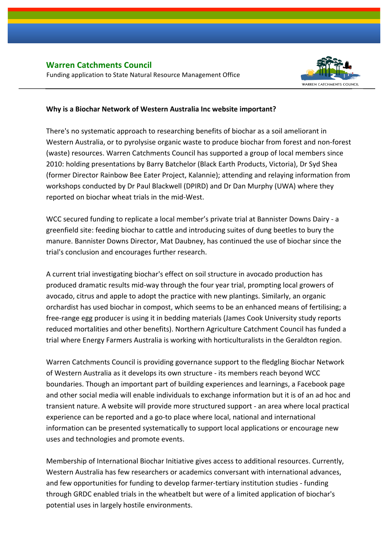

## **Why is a Biochar Network of Western Australia Inc website important?**

There's no systematic approach to researching benefits of biochar as a soil ameliorant in Western Australia, or to pyrolysise organic waste to produce biochar from forest and non-forest (waste) resources. Warren Catchments Council has supported a group of local members since 2010: holding presentations by Barry Batchelor (Black Earth Products, Victoria), Dr Syd Shea (former Director Rainbow Bee Eater Project, Kalannie); attending and relaying information from workshops conducted by Dr Paul Blackwell (DPIRD) and Dr Dan Murphy (UWA) where they reported on biochar wheat trials in the mid-West.

WCC secured funding to replicate a local member's private trial at Bannister Downs Dairy - a greenfield site: feeding biochar to cattle and introducing suites of dung beetles to bury the manure. Bannister Downs Director, Mat Daubney, has continued the use of biochar since the trial's conclusion and encourages further research.

A current trial investigating biochar's effect on soil structure in avocado production has produced dramatic results mid-way through the four year trial, prompting local growers of avocado, citrus and apple to adopt the practice with new plantings. Similarly, an organic orchardist has used biochar in compost, which seems to be an enhanced means of fertilising; a free-range egg producer is using it in bedding materials (James Cook University study reports reduced mortalities and other benefits). Northern Agriculture Catchment Council has funded a trial where Energy Farmers Australia is working with horticulturalists in the Geraldton region.

Warren Catchments Council is providing governance support to the fledgling Biochar Network of Western Australia as it develops its own structure - its members reach beyond WCC boundaries. Though an important part of building experiences and learnings, a Facebook page and other social media will enable individuals to exchange information but it is of an ad hoc and transient nature. A website will provide more structured support - an area where local practical experience can be reported and a go-to place where local, national and international information can be presented systematically to support local applications or encourage new uses and technologies and promote events.

Membership of International Biochar Initiative gives access to additional resources. Currently, Western Australia has few researchers or academics conversant with international advances, and few opportunities for funding to develop farmer-tertiary institution studies - funding through GRDC enabled trials in the wheatbelt but were of a limited application of biochar's potential uses in largely hostile environments.